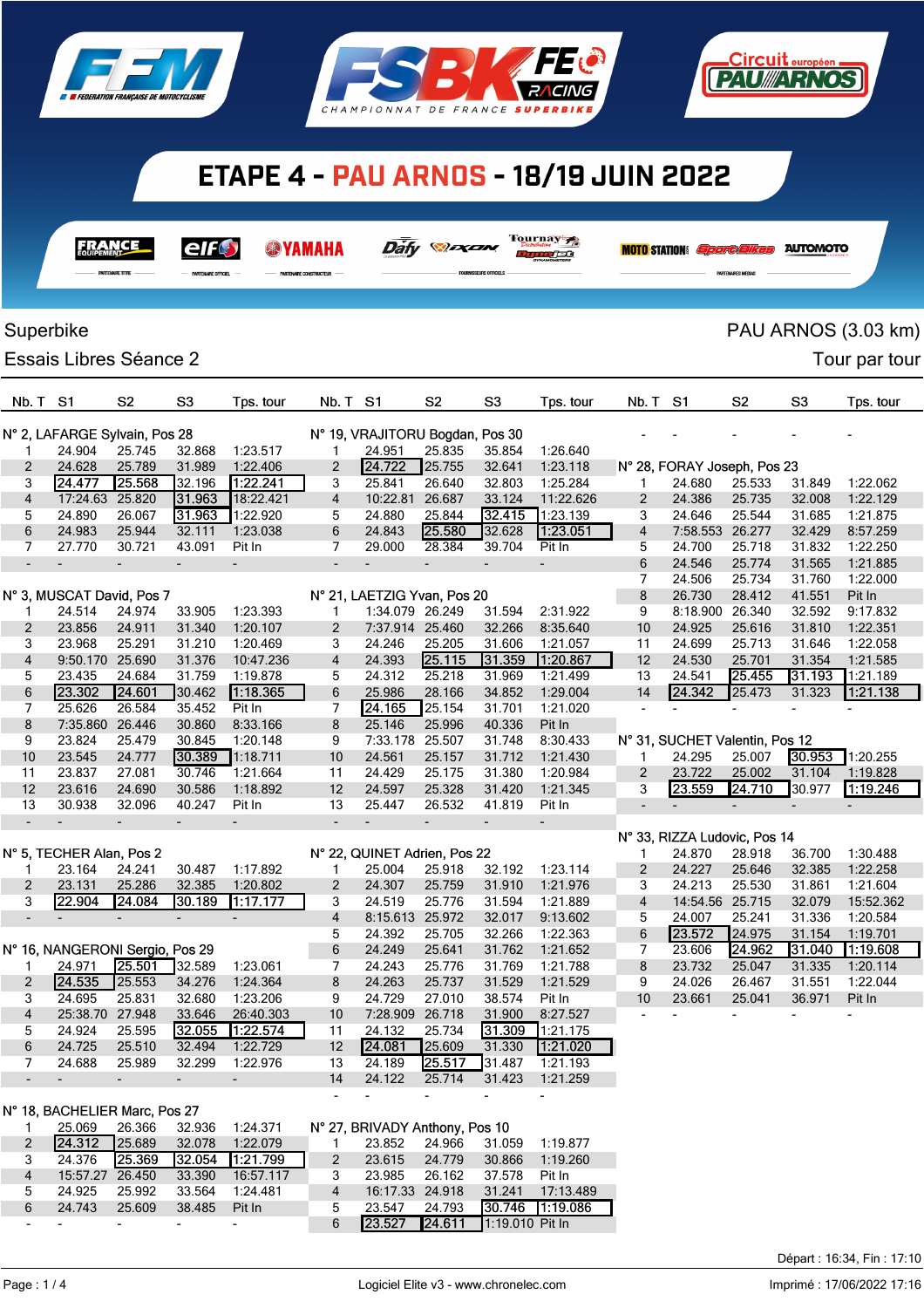





|                          |                                         | FRANCE                   | elft<br>PARTENAIRE OFFICIEL |                          |                          |                                    | Dáfy <b><i>Dáfy</i></b>  |                          | Tournay 7<br>n mo⁄et     |                          | <b>MOTO STATION</b> <i>Sport Bikes</i> |                  | <b>AUTOMOTO</b>  |                       |
|--------------------------|-----------------------------------------|--------------------------|-----------------------------|--------------------------|--------------------------|------------------------------------|--------------------------|--------------------------|--------------------------|--------------------------|----------------------------------------|------------------|------------------|-----------------------|
|                          |                                         |                          |                             |                          |                          |                                    |                          |                          |                          |                          |                                        |                  |                  |                       |
|                          | Superbike                               |                          |                             |                          |                          |                                    |                          |                          |                          |                          |                                        |                  |                  | PAU ARNOS (3.03 km)   |
|                          | Essais Libres Séance 2                  |                          |                             |                          |                          |                                    |                          |                          |                          |                          |                                        |                  |                  | Tour par tour         |
| Nb. T                    | S1                                      | S <sub>2</sub>           | S <sub>3</sub>              | Tps. tour                | Nb. T                    | -S1                                | S <sub>2</sub>           | S <sub>3</sub>           | Tps. tour                | Nb. T                    | S1                                     | S <sub>2</sub>   | S <sub>3</sub>   | Tps. tour             |
|                          |                                         |                          |                             |                          |                          | N° 19, VRAJITORU Bogdan, Pos 30    |                          |                          |                          |                          |                                        |                  |                  |                       |
| 1                        | N° 2, LAFARGE Sylvain, Pos 28<br>24.904 | 25.745                   | 32.868                      | 1:23.517                 | 1                        | 24.951                             | 25.835                   | 35.854                   | 1:26.640                 |                          |                                        |                  |                  |                       |
| 2                        | 24.628                                  | 25.789                   | 31.989                      | 1:22.406                 | 2                        | 24.722                             | 25.755                   | 32.641                   | 1:23.118                 |                          | N° 28, FORAY Joseph, Pos 23            |                  |                  |                       |
| 3                        | 24.477                                  | 25.568                   | 32.196                      | 1.22.241                 | 3                        | 25.841                             | 26.640                   | 32.803                   | 1:25.284                 | 1                        | 24.680                                 | 25.533           | 31.849           | 1:22.062              |
| 4                        | 17:24.63 25.820                         |                          | 31.963                      | 18:22.421                | 4                        | 10:22.81                           | 26.687                   | 33.124                   | 11:22.626                | 2                        | 24.386                                 | 25.735           | 32.008           | 1:22.129              |
| 5                        | 24.890                                  | 26.067                   | 31.963                      | 1:22.920                 | 5                        | 24.880                             | 25.844                   | 32.415                   | 1:23.139                 | 3                        | 24.646                                 | 25.544           | 31.685           | 1:21.875              |
| 6                        | 24.983                                  | 25.944                   | 32.111                      | 1:23.038                 | 6                        | 24.843                             | 25.580                   | 32.628                   | 1:23.051                 | 4                        | 7:58.553                               | 26.277           | 32.429           | 8:57.259              |
| 7                        | 27.770                                  | 30.721                   | 43.091                      | Pit In                   | 7                        | 29.000                             | 28.384                   | 39.704                   | Pit In                   | 5                        | 24.700                                 | 25.718           | 31.832           | 1:22.250              |
| $\overline{\phantom{a}}$ |                                         | $\overline{\phantom{a}}$ | $\overline{\phantom{0}}$    |                          | $\overline{\phantom{a}}$ |                                    | $\overline{\phantom{a}}$ | $\overline{\phantom{a}}$ | $\overline{\phantom{a}}$ | 6                        | 24.546                                 | 25.774           | 31.565           | 1:21.885              |
|                          |                                         |                          |                             |                          |                          |                                    |                          |                          |                          | 7                        | 24.506                                 | 25.734           | 31.760           | 1:22.000              |
|                          | N° 3, MUSCAT David, Pos 7               |                          |                             |                          |                          | N° 21, LAETZIG Yvan, Pos 20        |                          |                          | 2:31.922                 | 8                        | 26.730                                 | 28.412           | 41.551           | Pit In                |
| $\overline{2}$           | 24.514<br>23.856                        | 24.974<br>24.911         | 33.905<br>31.340            | 1:23.393<br>1:20.107     | 1<br>2                   | 1:34.079 26.249<br>7:37.914 25.460 |                          | 31.594<br>32.266         | 8:35.640                 | 9<br>10                  | 8:18.900<br>24.925                     | 26.340<br>25.616 | 32.592<br>31.810 | 9:17.832<br>1:22.351  |
| 3                        | 23.968                                  | 25.291                   | 31.210                      | 1:20.469                 | 3                        | 24.246                             | 25.205                   | 31.606                   | 1:21.057                 | 11                       | 24.699                                 | 25.713           | 31.646           | 1:22.058              |
| $\overline{4}$           | 9:50.170 25.690                         |                          | 31.376                      | 10:47.236                | 4                        | 24.393                             | 25.115                   | 31.359                   | 1:20.867                 | 12                       | 24.530                                 | 25.701           | 31.354           | 1:21.585              |
| 5                        | 23.435                                  | 24.684                   | 31.759                      | 1:19.878                 | 5                        | 24.312                             | 25.218                   | 31.969                   | 1:21.499                 | 13                       | 24.541                                 | 25.455           | 31.193           | 1:21.189              |
| 6                        | 23.302                                  | 24.601                   | 30.462                      | 1:18.365                 | 6                        | 25.986                             | 28.166                   | 34.852                   | 1:29.004                 | 14                       | 24.342                                 | 25.473           | 31.323           | 1:21.138              |
| 7                        | 25.626                                  | 26.584                   | 35.452                      | Pit In                   | 7                        | 24.165                             | 25.154                   | 31.701                   | 1:21.020                 |                          |                                        |                  |                  |                       |
| 8                        | 7:35.860                                | 26.446                   | 30.860                      | 8:33.166                 | 8                        | 25.146                             | 25.996                   | 40.336                   | Pit In                   |                          |                                        |                  |                  |                       |
| 9                        | 23.824                                  | 25.479                   | 30.845                      | 1:20.148                 | 9                        | 7:33.178                           | 25.507                   | 31.748                   | 8:30.433                 |                          | N° 31, SUCHET Valentin, Pos 12         |                  |                  |                       |
| 10                       | 23.545                                  | 24.777                   | 30.389                      | 1:18.711                 | 10                       | 24.561                             | 25.157                   | 31.712                   | 1:21.430                 | 1                        | 24.295                                 | 25.007           | 30.953           | 1:20.255              |
| 11                       | 23.837                                  | 27.081                   | 30.746                      | 1:21.664                 | 11                       | 24.429                             | 25.175                   | 31.380                   | 1:20.984                 | 2                        | 23.722                                 | 25.002           | 31.104           | 1:19.828              |
| 12                       | 23.616                                  | 24.690                   | 30.586                      | 1:18.892                 | 12                       | 24.597                             | 25.328                   | 31.420                   | 1:21.345                 | 3                        | 23.559                                 | 24.710           | 30.977           | 1.19.246              |
| 13                       | 30.938                                  | 32.096                   | 40.247                      | Pit In                   | 13                       | 25.447                             | 26.532                   | 41.819                   | Pit In                   | $\overline{\phantom{0}}$ | $\overline{\phantom{a}}$               |                  |                  |                       |
| $\overline{\phantom{a}}$ |                                         |                          | $\overline{\phantom{a}}$    |                          | $\overline{\phantom{a}}$ |                                    |                          | $\overline{\phantom{0}}$ |                          |                          |                                        |                  |                  |                       |
|                          |                                         |                          |                             |                          |                          |                                    |                          |                          |                          |                          | N° 33, RIZZA Ludovic, Pos 14           |                  |                  |                       |
|                          | N° 5, TECHER Alan, Pos 2                |                          |                             |                          |                          | N° 22, QUINET Adrien, Pos 22       |                          |                          |                          | 1                        | 24.870                                 | 28.918           | 36.700           | 1:30.488              |
| 1                        | 23.164                                  | 24.241                   | 30.487                      | 1:17.892                 | 1                        | 25.004                             | 25.918                   | 32.192                   | 1:23.114                 | $\overline{c}$           | 24.227                                 | 25.646           | 32.385           | 1:22.258              |
| 2<br>3                   | 23.131<br>22.904                        | 25.286<br>24.084         | 32.385<br>30.189            | 1:20.802<br>1:17.177     | 2<br>3                   | 24.307<br>24.519                   | 25.759<br>25.776         | 31.910<br>31.594         | 1:21.976<br>1:21.889     | 3<br>4                   | 24.213<br>14:54.56                     | 25.530<br>25.715 | 31.861<br>32.079 | 1:21.604<br>15:52.362 |
|                          |                                         | $\overline{a}$           |                             |                          | 4                        | 8:15.613 25.972                    |                          | 32.017                   | 9:13.602                 | 5                        | 24.007                                 | 25.241           | 31.336           | 1:20.584              |
|                          |                                         |                          |                             |                          | 5                        | 24.392                             | 25.705                   | 32.266                   | 1:22.363                 | 6                        | 23.572                                 | 24.975           | 31.154           | 1:19.701              |
|                          | N° 16, NANGERONI Sergio, Pos 29         |                          |                             |                          | 6                        | 24.249                             | 25.641                   | 31.762                   | 1:21.652                 | 7                        | 23.606                                 | 24.962           | 31.040           | 1:19.608              |
| 1                        | 24.971                                  | 25.501                   | 32.589                      | 1:23.061                 | 7                        | 24.243                             | 25.776                   | 31.769                   | 1:21.788                 | 8                        | 23.732                                 | 25.047           | 31.335           | 1:20.114              |
| $\overline{2}$           | 24.535                                  | 25.553                   | 34.276                      | 1:24.364                 | 8                        | 24.263                             | 25.737                   | 31.529                   | 1:21.529                 | 9                        | 24.026                                 | 26.467           | 31.551           | 1:22.044              |
| 3                        | 24.695                                  | 25.831                   | 32.680                      | 1:23.206                 | 9                        | 24.729                             | 27.010                   | 38.574                   | Pit In                   | 10                       | 23.661                                 | 25.041           | 36.971           | Pit In                |
| $\overline{4}$           | 25:38.70 27.948                         |                          | 33.646                      | 26:40.303                | 10                       | 7:28.909 26.718                    |                          | 31.900                   | 8:27.527                 | $\blacksquare$           |                                        | ٠                | ٠                | ٠                     |
| 5                        | 24.924                                  | 25.595                   | 32.055                      | 1:22.574                 | 11                       | 24.132                             | 25.734                   | 31.309                   | 1:21.175                 |                          |                                        |                  |                  |                       |
| 6                        | 24.725                                  | 25.510                   | 32.494                      | 1:22.729                 | 12                       | 24.081                             | 25.609                   | 31.330                   | 1:21.020                 |                          |                                        |                  |                  |                       |
| 7                        | 24.688                                  | 25.989                   | 32.299                      | 1:22.976                 | 13                       | 24.189                             | 25.517                   | 31.487                   | 1:21.193                 |                          |                                        |                  |                  |                       |
| $\blacksquare$           |                                         | $\blacksquare$           | $\overline{\phantom{a}}$    |                          | 14                       | 24.122                             | 25.714                   | 31.423                   | 1:21.259                 |                          |                                        |                  |                  |                       |
|                          |                                         |                          |                             |                          |                          |                                    |                          |                          |                          |                          |                                        |                  |                  |                       |
|                          | N° 18, BACHELIER Marc, Pos 27           |                          |                             |                          |                          |                                    |                          |                          |                          |                          |                                        |                  |                  |                       |
| 1                        | 25.069<br>24.312                        | 26.366                   | 32.936                      | 1:24.371                 |                          | N° 27, BRIVADY Anthony, Pos 10     | 24.966                   |                          |                          |                          |                                        |                  |                  |                       |
| $\overline{2}$<br>3      | 24.376                                  | 25.689<br>25.369         | 32.078<br>32.054            | 1:22.079<br>1:21.799     | 1.<br>$\overline{2}$     | 23.852<br>23.615                   | 24.779                   | 31.059<br>30.866         | 1:19.877<br>1:19.260     |                          |                                        |                  |                  |                       |
| 4                        | 15:57.27 26.450                         |                          | 33.390                      | 16:57.117                | 3                        | 23.985                             | 26.162                   | 37.578                   | Pit In                   |                          |                                        |                  |                  |                       |
| 5                        | 24.925                                  | 25.992                   | 33.564                      | 1:24.481                 | $\overline{4}$           | 16:17.33 24.918                    |                          | 31.241                   | 17:13.489                |                          |                                        |                  |                  |                       |
| 6                        | 24.743                                  | 25.609                   | 38.485                      | Pit In                   | 5                        | 23.547                             | 24.793                   | 30.746                   | 1:19.086                 |                          |                                        |                  |                  |                       |
| $\overline{\phantom{a}}$ |                                         | $\overline{\phantom{a}}$ | $\overline{\phantom{0}}$    | $\overline{\phantom{a}}$ | 6                        | 23.527                             | 24.611                   | ]1:19.010 Pit In         |                          |                          |                                        |                  |                  |                       |
|                          |                                         |                          |                             |                          |                          |                                    |                          |                          |                          |                          |                                        |                  |                  |                       |

<u>Circuit européen</u><br>**[PAU///ARNOS**]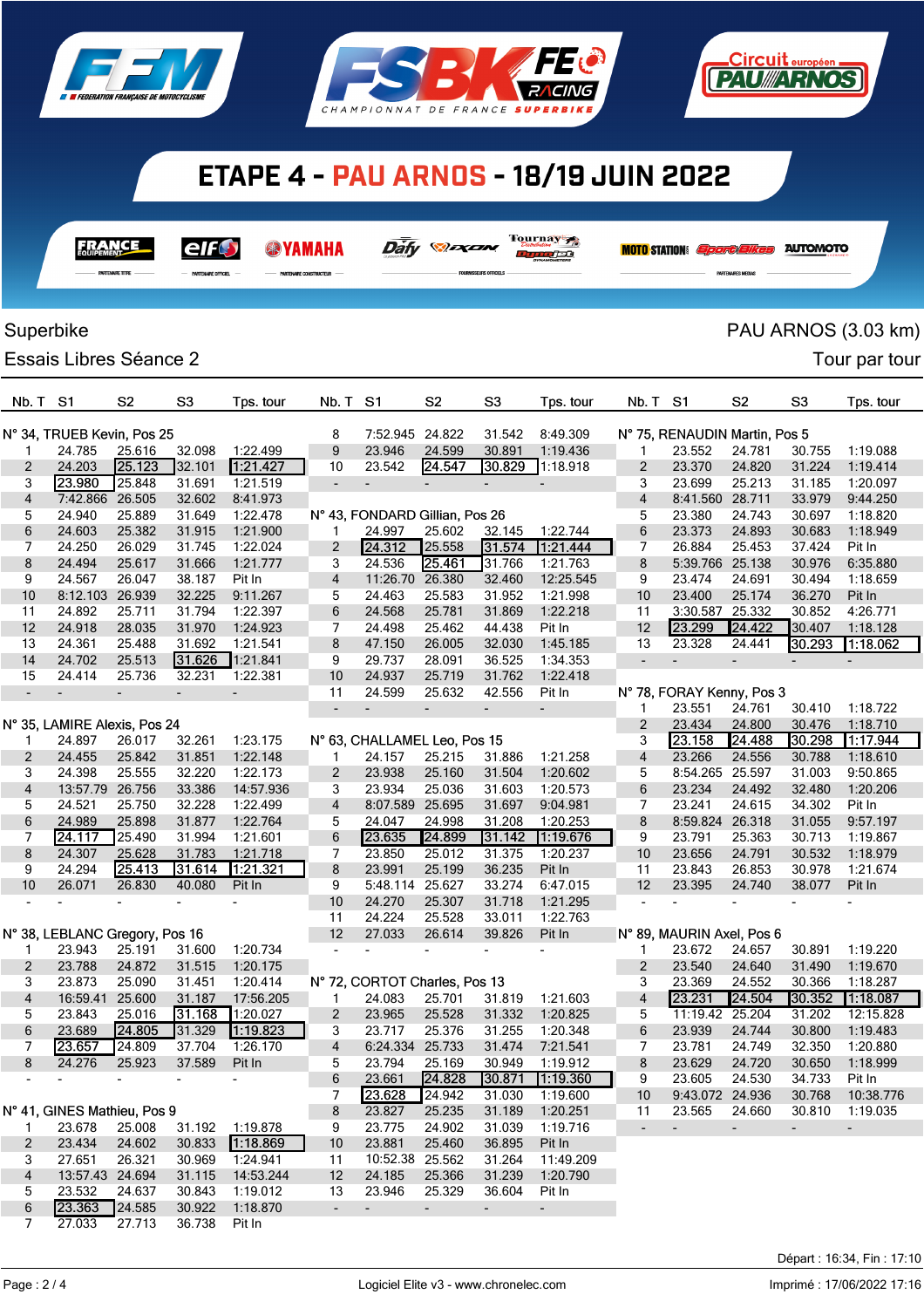

**FRANCE** 

elf

 $rac{1}{2}$ 

**@YAMAHA** 

**UNDER COMPTRIMITION** 





 $\overline{\text{Dafy}}$   $\otimes$   $\overline{\text{Dafy}}$   $\overline{\text{Dafy}}$ 

nundet

| Superbike                  |                                |                |                          |                          |                          |                                |                          |                |                          |                          |                               |                           |                | PAU ARNOS (3.03 km)      |
|----------------------------|--------------------------------|----------------|--------------------------|--------------------------|--------------------------|--------------------------------|--------------------------|----------------|--------------------------|--------------------------|-------------------------------|---------------------------|----------------|--------------------------|
|                            | <b>Essais Libres Séance 2</b>  |                |                          |                          |                          |                                |                          |                |                          |                          |                               |                           |                | Tour par tour            |
| Nb. T                      | S1                             | S <sub>2</sub> | S <sub>3</sub>           | Tps. tour                | Nb. T                    | S1                             | S <sub>2</sub>           | S <sub>3</sub> | Tps. tour                | Nb. T                    | S <sub>1</sub>                | S <sub>2</sub>            | S <sub>3</sub> | Tps. tour                |
| N° 34, TRUEB Kevin, Pos 25 |                                |                |                          | 8                        | 7:52.945 24.822          |                                | 31.542                   | 8:49.309       |                          |                          | N° 75, RENAUDIN Martin, Pos 5 |                           |                |                          |
| 1                          | 24.785                         | 25.616         | 32.098                   | 1:22.499                 | 9                        | 23.946                         | 24.599                   | 30.891         | 1:19.436                 | 1                        | 23.552                        | 24.781                    | 30.755         | 1:19.088                 |
| 2                          | 24.203                         | 25.123         | 32.101                   | 1:21.427                 | 10                       | 23.542                         | 24.547                   | 30.829         | 1:18.918                 | 2                        | 23.370                        | 24.820                    | 31.224         | 1:19.414                 |
| 3                          | 23.980                         | 25.848         | 31.691                   | 1:21.519                 | $\overline{\phantom{a}}$ |                                | $\overline{\phantom{a}}$ |                |                          | 3                        | 23.699                        | 25.213                    | 31.185         | 1:20.097                 |
| 4                          | 7:42.866                       | 26.505         | 32.602                   | 8:41.973                 |                          |                                |                          |                |                          | $\overline{\mathbf{4}}$  | 8:41.560                      | 28.711                    | 33.979         | 9:44.250                 |
| 5                          | 24.940                         | 25.889         | 31.649                   | 1:22.478                 |                          | N° 43, FONDARD Gillian, Pos 26 |                          |                |                          | 5                        | 23.380                        | 24.743                    | 30.697         | 1:18.820                 |
| 6                          | 24.603                         | 25.382         | 31.915                   | 1:21.900                 |                          | 24.997                         | 25.602                   | 32.145         | 1:22.744                 | 6                        | 23.373                        | 24.893                    | 30.683         | 1:18.949                 |
| 7                          | 24.250                         | 26.029         | 31.745                   | 1:22.024                 | 2                        | 24.312                         | 25.558                   | 31.574         | 1:21.444                 | 7                        | 26.884                        | 25.453                    | 37.424         | Pit In                   |
| 8                          | 24.494                         | 25.617         | 31.666                   | 1:21.777                 | 3                        | 24.536                         | 25.461                   | 31.766         | 1:21.763                 | 8                        | 5:39.766 25.138               |                           | 30.976         | 6:35.880                 |
| 9                          | 24.567                         | 26.047         | 38.187                   | Pit In                   | 4                        | 11:26.70 26.380                |                          | 32.460         | 12:25.545                | 9                        | 23.474                        | 24.691                    | 30.494         | 1:18.659                 |
| 10                         | 8:12.103 26.939                |                | 32.225                   | 9:11.267                 | 5                        | 24.463                         | 25.583                   | 31.952         | 1:21.998                 | 10                       | 23.400                        | 25.174                    | 36.270         | Pit In                   |
| 11                         | 24.892                         | 25.711         | 31.794                   | 1:22.397                 | 6                        | 24.568                         | 25.781                   | 31.869         | 1:22.218                 | 11                       | 3:30.587                      | 25.332                    | 30.852         | 4:26.771                 |
| 12                         | 24.918                         | 28.035         | 31.970                   | 1:24.923                 | 7                        | 24.498                         | 25.462                   | 44.438         | Pit In                   | 12                       | 23.299                        | 24.422                    | 30.407         | 1:18.128                 |
| 13                         | 24.361                         | 25.488         | 31.692                   | 1:21.541                 | 8                        | 47.150                         | 26.005                   | 32.030         | 1:45.185                 | 13                       | 23.328                        | 24.441                    | 30.293         | 1:18.062                 |
| 14                         | 24.702                         | 25.513         | 31.626                   | 1:21.841                 | 9                        | 29.737                         | 28.091                   | 36.525         | 1:34.353                 | $\overline{a}$           | $\overline{a}$                |                           |                |                          |
| 15                         | 24.414                         | 25.736         | 32.231                   | 1:22.381                 | 10                       | 24.937                         | 25.719                   | 31.762         | 1:22.418                 |                          |                               |                           |                |                          |
|                            |                                |                | $\overline{a}$           | $\overline{\phantom{a}}$ | 11                       | 24.599                         | 25.632                   | 42.556         | Pit In                   |                          |                               | N° 78, FORAY Kenny, Pos 3 |                |                          |
|                            |                                |                |                          |                          | $\overline{\phantom{a}}$ |                                | $\overline{\phantom{0}}$ |                |                          | 1                        | 23.551                        | 24.761                    | 30.410         | 1:18.722                 |
|                            | N° 35, LAMIRE Alexis, Pos 24   |                |                          |                          |                          |                                |                          |                |                          | 2                        | 23.434                        | 24.800                    | 30.476         | 1:18.710                 |
| 1                          | 24.897                         | 26.017         | 32.261                   | 1:23.175                 |                          | N° 63, CHALLAMEL Leo, Pos 15   |                          |                |                          | 3                        | 23.158                        | 24.488                    | 30.298         | 117.944                  |
| 2                          | 24.455                         | 25.842         | 31.851                   | 1:22.148                 | 1                        | 24.157                         | 25.215                   | 31.886         | 1:21.258                 | 4                        | 23.266                        | 24.556                    | 30.788         | 1:18.610                 |
| 3                          | 24.398                         | 25.555         | 32.220                   | 1:22.173                 | $\overline{2}$           | 23.938                         | 25.160                   | 31.504         | 1:20.602                 | 5                        | 8:54.265                      | 25.597                    | 31.003         | 9:50.865                 |
| 4                          | 13:57.79 26.756                |                | 33.386                   | 14:57.936                | 3                        | 23.934                         | 25.036                   | 31.603         | 1:20.573                 | 6                        | 23.234                        | 24.492                    | 32.480         | 1:20.206                 |
| 5                          | 24.521                         | 25.750         | 32.228                   | 1:22.499                 | 4                        | 8:07.589 25.695                |                          | 31.697         | 9:04.981                 | 7                        | 23.241                        | 24.615                    | 34.302         | Pit In                   |
| 6                          | 24.989                         | 25.898         | 31.877                   | 1:22.764                 | 5                        | 24.047                         | 24.998                   | 31.208         | 1:20.253                 | 8                        | 8:59.824 26.318               |                           | 31.055         | 9:57.197                 |
| 7                          | 24.117                         | 25.490         | 31.994                   | 1:21.601                 | 6                        | 23.635                         | 24.899                   | 31.142         | 1:19.676                 | 9                        | 23.791                        | 25.363                    | 30.713         | 1:19.867                 |
| 8                          | 24.307                         | 25.628         | 31.783                   | 1:21.718                 | 7                        | 23.850                         | 25.012                   | 31.375         | 1:20.237                 | 10                       | 23.656                        | 24.791                    | 30.532         | 1:18.979                 |
| 9                          | 24.294                         | 25.413         | 31.614                   | 1:21.321                 | 8                        | 23.991                         | 25.199                   | 36.235         | Pit In                   | 11                       | 23.843                        | 26.853                    | 30.978         | 1:21.674                 |
| 10                         | 26.071                         | 26.830         | 40.080                   | Pit In                   | 9                        | 5:48.114                       | 25.627                   | 33.274         | 6:47.015                 | 12                       | 23.395                        | 24.740                    | 38.077         | Pit In                   |
|                            |                                |                |                          |                          | 10                       | 24.270                         | 25.307                   | 31.718         | 1:21.295                 |                          |                               |                           |                |                          |
|                            |                                |                |                          |                          | 11                       | 24.224                         | 25.528                   | 33.011         | 1:22.763                 |                          |                               |                           |                |                          |
|                            | N° 38, LEBLANC Gregory, Pos 16 |                |                          |                          | 12                       | 27.033                         | 26.614                   | 39.826         | Pit In                   |                          | N° 89, MAURIN Axel, Pos 6     |                           |                |                          |
| 1                          | 23.943                         | 25.191         | 31.600                   | 1:20.734                 |                          |                                |                          |                |                          | 1                        | 23.672                        | 24.657                    | 30.891         | 1:19.220                 |
| $\overline{2}$             | 23.788                         | 24.872         | 31.515                   | 1:20.175                 |                          |                                |                          |                |                          | 2                        | 23.540                        | 24.640                    | 31.490         | 1:19.670                 |
| 3                          | 23.873                         | 25.090         | 31.451                   | 1:20.414                 |                          | N° 72, CORTOT Charles, Pos 13  |                          |                |                          | 3                        | 23.369                        | 24.552                    | 30.366         | 1:18.287                 |
| 4                          | 16:59.41 25.600                |                | 31.187                   | 17:56.205                | 1                        | 24.083                         | 25.701                   | 31.819         | 1:21.603                 | $\overline{4}$           | 23.231                        | 24.504                    | 30.352         | 1:18.087                 |
| 5                          | 23.843                         | 25.016         | 31.168                   | 1:20.027                 | $\overline{c}$           | 23.965                         | 25.528                   | 31.332         | 1:20.825                 | 5                        | 11:19.42 25.204               |                           | 31.202         | 12:15.828                |
| 6                          | 23.689                         | 24.805         | 31.329                   | 1:19.823                 | 3                        | 23.717                         | 25.376                   | 31.255         | 1:20.348                 | 6                        | 23.939                        | 24.744                    | 30.800         | 1:19.483                 |
| 7                          | 23.657                         | 24.809         | 37.704                   | 1:26.170                 | 4                        | 6:24.334 25.733                |                          | 31.474         | 7:21.541                 | 7                        | 23.781                        | 24.749                    | 32.350         | 1:20.880                 |
| 8                          | 24.276                         | 25.923         | 37.589                   | Pit In                   | 5                        | 23.794                         | 25.169                   | 30.949         | 1:19.912                 | 8                        | 23.629                        | 24.720                    | 30.650         | 1:18.999                 |
|                            | $\overline{\phantom{a}}$       |                | $\overline{\phantom{a}}$ | $\overline{\phantom{a}}$ | 6                        | 23.661                         | 24.828                   | 30.871         | 1:19.360                 | 9                        | 23.605                        | 24.530                    | 34.733         | Pit In                   |
|                            |                                |                |                          |                          | 7                        | 23.628                         | 24.942                   | 31.030         | 1:19.600                 | 10                       | 9:43.072 24.936               |                           | 30.768         | 10:38.776                |
|                            | N° 41, GINES Mathieu, Pos 9    |                |                          |                          | 8                        | 23.827                         | 25.235                   | 31.189         | 1:20.251                 | 11                       | 23.565                        | 24.660                    | 30.810         | 1:19.035                 |
| 1.                         | 23.678                         | 25.008         | 31.192                   | 1:19.878                 | 9                        | 23.775                         | 24.902                   | 31.039         | 1:19.716                 | $\overline{\phantom{a}}$ | $\blacksquare$                | $\sim$                    | $\blacksquare$ | $\overline{\phantom{a}}$ |
| $\overline{2}$             | 23.434                         | 24.602         | 30.833                   | 1:18.869                 | 10                       | 23.881                         | 25.460                   | 36.895         | Pit In                   |                          |                               |                           |                |                          |
| 3                          | 27.651                         | 26.321         | 30.969                   | 1:24.941                 | 11                       | 10:52.38 25.562                |                          | 31.264         | 11:49.209                |                          |                               |                           |                |                          |
| 4                          | 13:57.43 24.694                |                | 31.115                   | 14:53.244                | 12                       | 24.185                         | 25.366                   | 31.239         | 1:20.790                 |                          |                               |                           |                |                          |
| 5                          | 23.532                         | 24.637         | 30.843                   | 1:19.012                 | 13                       | 23.946                         | 25.329                   | 36.604         | Pit In                   |                          |                               |                           |                |                          |
| 6                          | 23.363                         | 24.585         | 30.922                   | 1:18.870                 | $\blacksquare$           | $\overline{\phantom{a}}$       | $\overline{\phantom{a}}$ | $\blacksquare$ | $\overline{\phantom{a}}$ |                          |                               |                           |                |                          |
| 7                          | 27.033                         | 27.713         | 36.738                   | Pit In                   |                          |                                |                          |                |                          |                          |                               |                           |                |                          |

## Page : 2 / 4

<u> Eircuit européen</u> **FAU ARNOS** 

**MOTO STATION:** *Sport Elkes* AUTOMOTO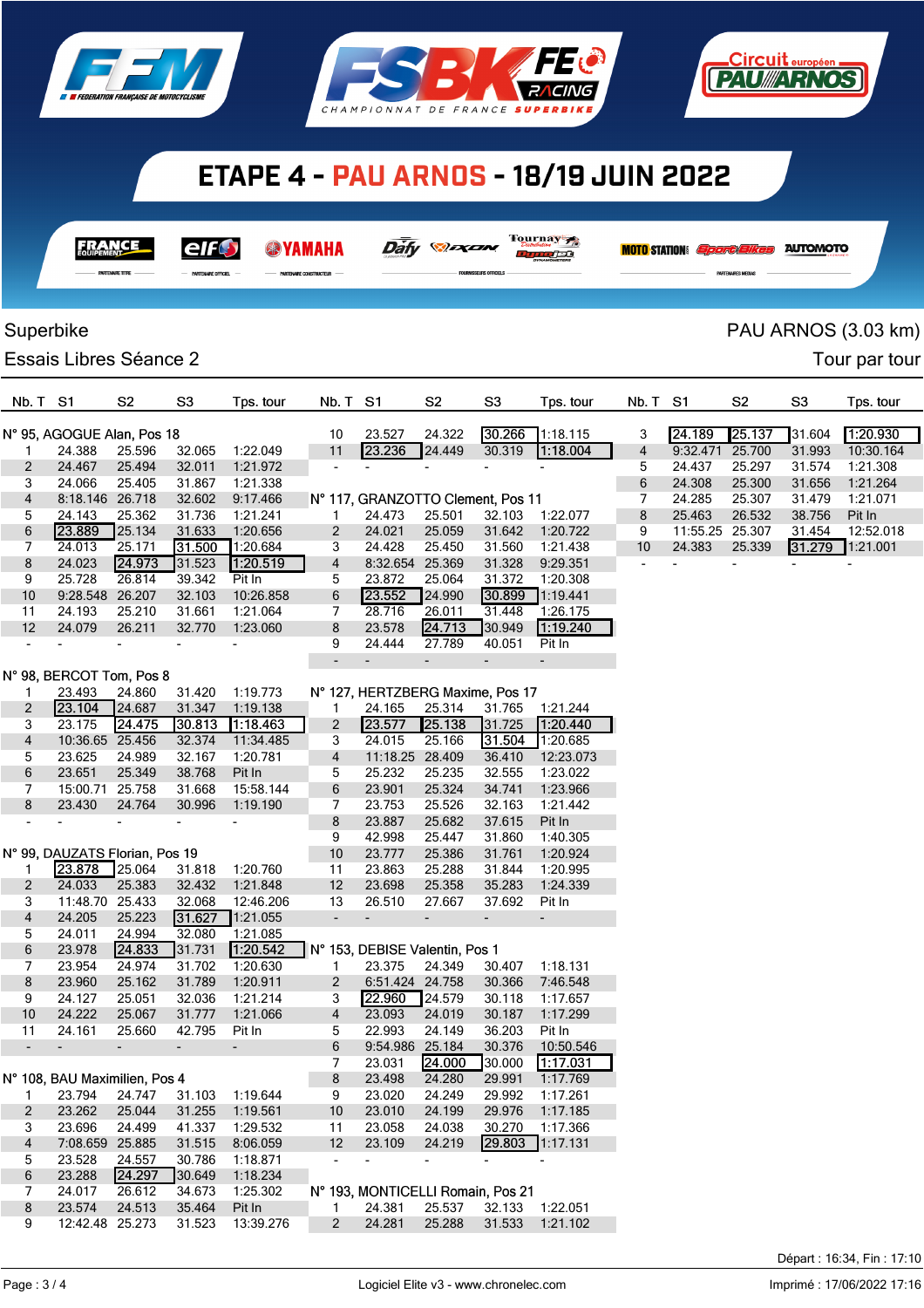





| - |
|---|

**@YAMAHA** 

Tournay Dafy **Dan** 

<u>num jat</u>

**MOTO** STATION *Sport Bikes* AUTOMOTO

<u>Circuit européen</u> **PAU//ARNOS** 

## Superbike PAU ARNOS (3.03 km)

Essais Libres Séance 2 **Tour particle 1** Tour partour

| Nb. T S1                                                                   |                                | S <sub>2</sub>           | S <sub>3</sub>           | Tps. tour                |                          | Nb. T S1                 |                 | S <sub>2</sub>                 | S <sub>3</sub>                    | Tps. tour                | Nb. T S1 |                 | S <sub>2</sub>           | S <sub>3</sub> | Tps. tour                |
|----------------------------------------------------------------------------|--------------------------------|--------------------------|--------------------------|--------------------------|--------------------------|--------------------------|-----------------|--------------------------------|-----------------------------------|--------------------------|----------|-----------------|--------------------------|----------------|--------------------------|
| 30.266<br>N° 95, AGOGUE Alan, Pos 18<br>23.527<br>24.322<br>1:18.115<br>10 |                                |                          |                          |                          |                          |                          |                 |                                |                                   |                          | 3        | 24.189          | 25.137                   | 31.604         | 1.20.930                 |
| $\mathbf{1}$                                                               | 24.388                         | 25.596                   | 32.065                   | 1:22.049                 | 11                       |                          | 23.236          | 24.449                         | 30.319                            | 1:18.004                 | 4        | 9:32.471 25.700 |                          | 31.993         | 10:30.164                |
| 2                                                                          | 24.467                         | 25.494                   | 32.011                   | 1:21.972                 | $\blacksquare$           |                          |                 | $\overline{\phantom{a}}$       | $\overline{\phantom{a}}$          | $\overline{\phantom{a}}$ | 5        | 24.437          | 25.297                   | 31.574         | 1:21.308                 |
| 3                                                                          | 24.066                         | 25.405                   | 31.867                   | 1:21.338                 |                          |                          |                 |                                |                                   |                          | 6        | 24.308          | 25.300                   | 31.656         | 1:21.264                 |
| 4                                                                          | 8:18.146 26.718                |                          | 32.602                   | 9:17.466                 |                          |                          |                 |                                | N° 117, GRANZOTTO Clement, Pos 11 |                          | 7        | 24.285          | 25.307                   | 31.479         | 1:21.071                 |
| 5                                                                          | 24.143                         | 25.362                   | 31.736                   | 1:21.241                 | 1                        |                          | 24.473          | 25.501                         | 32.103                            | 1:22.077                 | 8        | 25.463          | 26.532                   | 38.756         | Pit In                   |
| 6                                                                          | 23.889                         | 25.134                   | 31.633                   | 1:20.656                 | $\overline{c}$           |                          | 24.021          | 25.059                         | 31.642                            | 1:20.722                 | 9        | 11:55.25 25.307 |                          | 31.454         | 12:52.018                |
| 7                                                                          | 24.013                         | 25.171                   | 31.500                   | 1:20.684                 | 3                        |                          | 24.428          | 25.450                         | 31.560                            | 1:21.438                 | 10       | 24.383          | 25.339                   | 31.279         | 1:21.001                 |
| 8                                                                          | 24.023                         | 24.973                   | 31.523                   | 1:20.519                 | 4                        |                          | 8:32.654 25.369 |                                | 31.328                            | 9:29.351                 |          | $\blacksquare$  | $\overline{\phantom{a}}$ | $\blacksquare$ | $\overline{\phantom{a}}$ |
| 9                                                                          | 25.728                         | 26.814                   | 39.342                   | Pit In                   | 5                        |                          | 23.872          | 25.064                         | 31.372                            | 1:20.308                 |          |                 |                          |                |                          |
| $10$                                                                       | 9:28.548 26.207                |                          | 32.103                   | 10:26.858                | 6                        |                          | 23.552          | 24.990                         | 30.899                            | 7:19.441                 |          |                 |                          |                |                          |
| 11                                                                         | 24.193                         | 25.210                   | 31.661                   | 1:21.064                 | 7                        |                          | 28.716          | 26.011                         | 31.448                            | 1:26.175                 |          |                 |                          |                |                          |
| 12                                                                         | 24.079                         | 26.211                   | 32.770                   | 1:23.060                 | 8                        |                          | 23.578          | 24.713                         | 30.949                            | 1:19.240                 |          |                 |                          |                |                          |
|                                                                            |                                | L,                       | $\overline{\phantom{a}}$ |                          | 9                        |                          | 24.444          | 27.789                         | 40.051                            | Pit In                   |          |                 |                          |                |                          |
|                                                                            |                                |                          |                          |                          |                          |                          |                 | $\overline{\phantom{a}}$       | $\blacksquare$                    | ÷,                       |          |                 |                          |                |                          |
| N° 98, BERCOT Tom, Pos 8                                                   |                                |                          |                          |                          |                          |                          |                 |                                |                                   |                          |          |                 |                          |                |                          |
| $\mathbf 1$                                                                | 23.493                         | 24.860                   | 31.420                   | 1:19.773                 |                          |                          |                 |                                | N° 127, HERTZBERG Maxime, Pos 17  |                          |          |                 |                          |                |                          |
| $\overline{c}$                                                             | 23.104                         | 24.687                   | 31.347                   | 1:19.138                 | 1.                       |                          | 24.165          | 25.314                         | 31.765                            | 1:21.244                 |          |                 |                          |                |                          |
| 3                                                                          | 23.175                         | 24.475                   | 30.813                   | 1:18.463                 | $\overline{2}$           |                          | 23.577          | 25.138                         | 31.725                            | 1:20.440                 |          |                 |                          |                |                          |
| 4                                                                          | 10:36.65 25.456                |                          | 32.374                   | 11:34.485                | 3                        |                          | 24.015          | 25.166                         | 31.504                            | 1:20.685                 |          |                 |                          |                |                          |
| 5                                                                          | 23.625                         | 24.989                   | 32.167                   | 1:20.781                 | 4                        |                          | 11:18.25 28.409 |                                | 36.410                            | 12:23.073                |          |                 |                          |                |                          |
| 6                                                                          | 23.651                         | 25.349                   | 38.768                   | Pit In                   | 5                        |                          | 25.232          | 25.235                         | 32.555                            | 1:23.022                 |          |                 |                          |                |                          |
| 7                                                                          | 15:00.71 25.758                |                          | 31.668                   | 15:58.144                | 6                        |                          | 23.901          | 25.324                         | 34.741                            | 1:23.966                 |          |                 |                          |                |                          |
| 8                                                                          | 23.430                         | 24.764                   | 30.996                   | 1:19.190                 | 7                        |                          | 23.753          | 25.526                         | 32.163                            | 1:21.442                 |          |                 |                          |                |                          |
| $\blacksquare$                                                             |                                | $\overline{\phantom{0}}$ | $\overline{\phantom{a}}$ |                          | 8                        |                          | 23.887          | 25.682                         | 37.615                            | Pit In                   |          |                 |                          |                |                          |
|                                                                            |                                |                          |                          |                          | 9                        |                          | 42.998          | 25.447                         | 31.860                            | 1:40.305                 |          |                 |                          |                |                          |
|                                                                            | N° 99, DAUZATS Florian, Pos 19 |                          |                          |                          | 10                       |                          | 23.777          | 25.386                         | 31.761                            | 1:20.924                 |          |                 |                          |                |                          |
| $\mathbf{1}$                                                               | 23.878                         | 25.064                   | 31.818                   | 1:20.760                 | 11                       |                          | 23.863          | 25.288                         | 31.844                            | 1:20.995                 |          |                 |                          |                |                          |
| 2                                                                          | 24.033<br>11:48.70 25.433      | 25.383                   | 32.432                   | 1:21.848                 | 12                       |                          | 23.698          | 25.358                         | 35.283                            | 1:24.339                 |          |                 |                          |                |                          |
| 3                                                                          |                                |                          | 32.068<br>31.627         | 12:46.206                | 13                       |                          | 26.510          | 27.667                         | 37.692                            | Pit In                   |          |                 |                          |                |                          |
| $\overline{\mathbf{4}}$                                                    | 24.205                         | 25.223                   |                          | 1:21.055                 | $\blacksquare$           | $\overline{\phantom{a}}$ |                 | $\blacksquare$                 | $\overline{\phantom{a}}$          | $\overline{\phantom{0}}$ |          |                 |                          |                |                          |
| 5<br>6                                                                     | 24.011<br>23.978               | 24.994<br>24.833         | 32.080<br>31.731         | 1:21.085<br>1:20.542     |                          |                          |                 | N° 153, DEBISE Valentin, Pos 1 |                                   |                          |          |                 |                          |                |                          |
| 7                                                                          | 23.954                         | 24.974                   | 31.702                   | 1:20.630                 | $\mathbf{1}$             |                          | 23.375          | 24.349                         | 30.407                            | 1:18.131                 |          |                 |                          |                |                          |
| 8                                                                          | 23.960                         | 25.162                   | 31.789                   | 1:20.911                 | $\overline{2}$           |                          | 6:51.424 24.758 |                                | 30.366                            | 7:46.548                 |          |                 |                          |                |                          |
| 9                                                                          | 24.127                         | 25.051                   | 32.036                   | 1:21.214                 | 3                        |                          | 22.960          | 24.579                         | 30.118                            | 1:17.657                 |          |                 |                          |                |                          |
| 10                                                                         | 24.222                         | 25.067                   | 31.777                   | 1:21.066                 | $\overline{4}$           |                          | 23.093          | 24.019                         | 30.187                            | 1:17.299                 |          |                 |                          |                |                          |
| 11                                                                         | 24.161                         | 25.660                   | 42.795                   | Pit In                   | 5                        |                          | 22.993          | 24.149                         | 36.203                            | Pit In                   |          |                 |                          |                |                          |
| $\overline{\phantom{a}}$                                                   | $\overline{\phantom{a}}$       | $\overline{\phantom{a}}$ | ٠                        | $\overline{\phantom{a}}$ | 6                        |                          | 9:54.986 25.184 |                                | 30.376                            | 10:50.546                |          |                 |                          |                |                          |
|                                                                            |                                |                          |                          |                          | 7                        |                          | 23.031          | 24.000                         | 30.000                            | 1:17.031                 |          |                 |                          |                |                          |
|                                                                            | N° 108, BAU Maximilien, Pos 4  |                          |                          |                          | 8                        |                          | 23.498          | 24.280                         | 29.991                            | 1:17.769                 |          |                 |                          |                |                          |
| 1                                                                          | 23.794                         | 24.747                   | 31.103                   | 1:19.644                 | 9                        |                          | 23.020          | 24.249                         | 29.992                            | 1:17.261                 |          |                 |                          |                |                          |
| 2                                                                          | 23.262                         | 25.044                   | 31.255                   | 1:19.561                 | 10                       |                          | 23.010          | 24.199                         | 29.976                            | 1:17.185                 |          |                 |                          |                |                          |
| 3                                                                          | 23.696                         | 24.499                   | 41.337                   | 1:29.532                 | 11                       |                          | 23.058          | 24.038                         | 30.270                            | 1:17.366                 |          |                 |                          |                |                          |
| 4                                                                          | 7:08.659 25.885                |                          | 31.515                   | 8:06.059                 | 12                       |                          | 23.109          | 24.219                         |                                   | 29.803 1:17.131          |          |                 |                          |                |                          |
| 5                                                                          | 23.528                         | 24.557                   | 30.786                   | 1:18.871                 | $\overline{\phantom{a}}$ |                          |                 | $\sim$                         |                                   |                          |          |                 |                          |                |                          |
| 6                                                                          | 23.288                         | 24.297                   | 30.649                   | 1:18.234                 |                          |                          |                 |                                |                                   |                          |          |                 |                          |                |                          |
| 7                                                                          | 24.017                         | 26.612                   | 34.673                   | 1:25.302                 |                          |                          |                 |                                | N° 193, MONTICELLI Romain, Pos 21 |                          |          |                 |                          |                |                          |
| 8                                                                          | 23.574                         | 24.513                   | 35.464                   | Pit In                   | $\mathbf{1}$             |                          | 24.381          | 25.537                         |                                   | 32.133 1:22.051          |          |                 |                          |                |                          |
| 9                                                                          | 12:42.48 25.273                |                          | 31.523                   | 13:39.276                | $\overline{2}$           |                          | 24.281          | 25.288                         |                                   | 31.533 1:21.102          |          |                 |                          |                |                          |